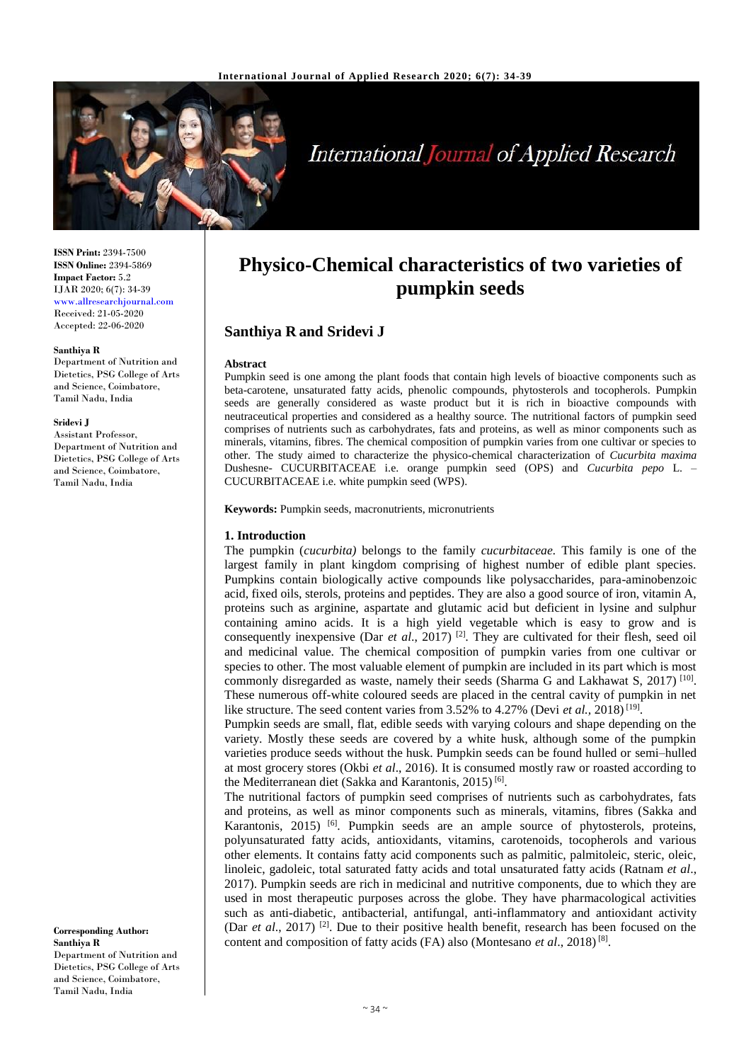

# **International Journal of Applied Research**

**ISSN Print:** 2394-7500 **ISSN Online:** 2394-5869 **Impact Factor:** 5.2 IJAR 2020; 6(7): 34-39 www.allresearchjournal.com Received: 21-05-2020 Accepted: 22-06-2020

#### **Santhiya R**

Department of Nutrition and Dietetics, PSG College of Arts and Science, Coimbatore, Tamil Nadu, India

#### **Sridevi J**

Assistant Professor, Department of Nutrition and Dietetics, PSG College of Arts and Science, Coimbatore, Tamil Nadu, India

**Corresponding Author: Santhiya R** Department of Nutrition and Dietetics, PSG College of Arts and Science, Coimbatore, Tamil Nadu, India

# **Physico-Chemical characteristics of two varieties of pumpkin seeds**

# **Santhiya R and Sridevi J**

#### **Abstract**

Pumpkin seed is one among the plant foods that contain high levels of bioactive components such as beta-carotene, unsaturated fatty acids, phenolic compounds, phytosterols and tocopherols. Pumpkin seeds are generally considered as waste product but it is rich in bioactive compounds with neutraceutical properties and considered as a healthy source. The nutritional factors of pumpkin seed comprises of nutrients such as carbohydrates, fats and proteins, as well as minor components such as minerals, vitamins, fibres. The chemical composition of pumpkin varies from one cultivar or species to other. The study aimed to characterize the physico-chemical characterization of *Cucurbita maxima* Dushesne- CUCURBITACEAE i.e. orange pumpkin seed (OPS) and *Cucurbita pepo* L. – CUCURBITACEAE i.e. white pumpkin seed (WPS).

**Keywords:** Pumpkin seeds, macronutrients, micronutrients

#### **1. Introduction**

The pumpkin (*cucurbita)* belongs to the family *cucurbitaceae.* This family is one of the largest family in plant kingdom comprising of highest number of edible plant species. Pumpkins contain biologically active compounds like polysaccharides, para-aminobenzoic acid, fixed oils, sterols, proteins and peptides. They are also a good source of iron, vitamin A, proteins such as arginine, aspartate and glutamic acid but deficient in lysine and sulphur containing amino acids. It is a high yield vegetable which is easy to grow and is consequently inexpensive (Dar *et al.*, 2017)<sup>[2]</sup>. They are cultivated for their flesh, seed oil and medicinal value. The chemical composition of pumpkin varies from one cultivar or species to other. The most valuable element of pumpkin are included in its part which is most commonly disregarded as waste, namely their seeds (Sharma G and Lakhawat S, 2017)<sup>[10]</sup>. These numerous off-white coloured seeds are placed in the central cavity of pumpkin in net like structure. The seed content varies from 3.52% to 4.27% (Devi *et al.*, 2018)<sup>[19]</sup>.

Pumpkin seeds are small, flat, edible seeds with varying colours and shape depending on the variety. Mostly these seeds are covered by a white husk, although some of the pumpkin varieties produce seeds without the husk. Pumpkin seeds can be found hulled or semi–hulled at most grocery stores (Okbi *et al*., 2016). It is consumed mostly raw or roasted according to the Mediterranean diet (Sakka and Karantonis, 2015)<sup>[6]</sup>.

The nutritional factors of pumpkin seed comprises of nutrients such as carbohydrates, fats and proteins, as well as minor components such as minerals, vitamins, fibres (Sakka and Karantonis, 2015)<sup>[6]</sup>. Pumpkin seeds are an ample source of phytosterols, proteins, polyunsaturated fatty acids, antioxidants, vitamins, carotenoids, tocopherols and various other elements. It contains fatty acid components such as palmitic, palmitoleic, steric, oleic, linoleic, gadoleic, total saturated fatty acids and total unsaturated fatty acids (Ratnam *et al*., 2017). Pumpkin seeds are rich in medicinal and nutritive components, due to which they are used in most therapeutic purposes across the globe. They have pharmacological activities such as anti-diabetic, antibacterial, antifungal, anti-inflammatory and antioxidant activity (Dar *et al.*, 2017)<sup>[2]</sup>. Due to their positive health benefit, research has been focused on the content and composition of fatty acids (FA) also (Montesano *et al*., 2018) [8] .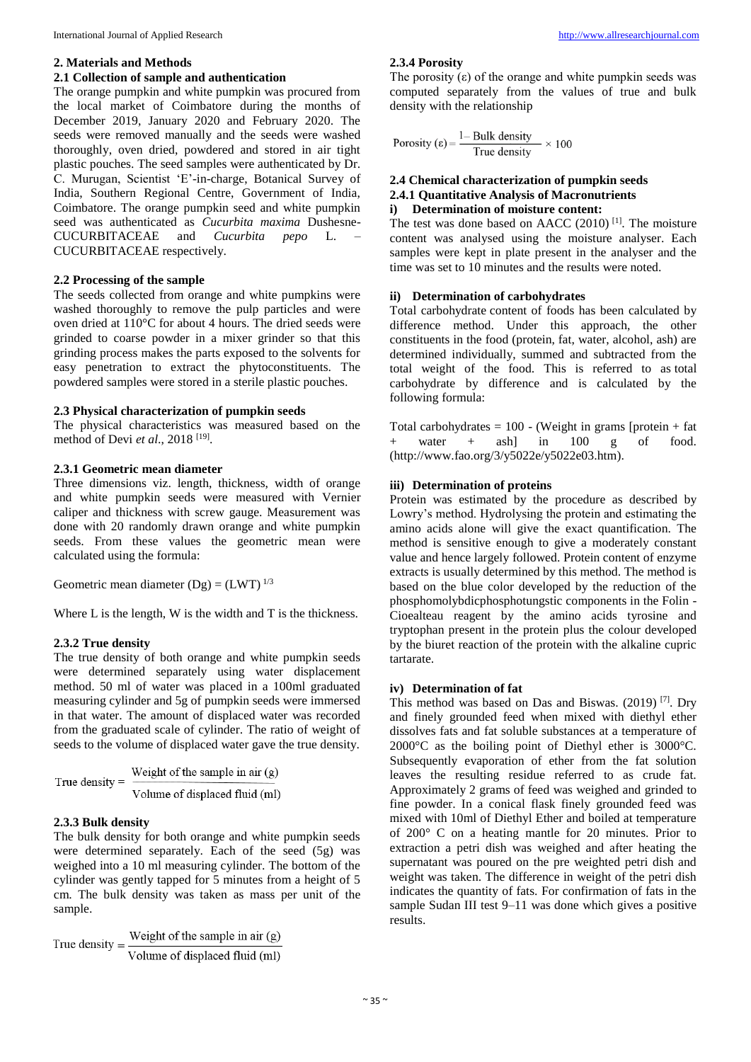#### **2. Materials and Methods**

# **2.1 Collection of sample and authentication**

The orange pumpkin and white pumpkin was procured from the local market of Coimbatore during the months of December 2019, January 2020 and February 2020. The seeds were removed manually and the seeds were washed thoroughly, oven dried, powdered and stored in air tight plastic pouches. The seed samples were authenticated by Dr. C. Murugan, Scientist 'E'-in-charge, Botanical Survey of India, Southern Regional Centre, Government of India, Coimbatore. The orange pumpkin seed and white pumpkin seed was authenticated as *Cucurbita maxima* Dushesne-CUCURBITACEAE and *Cucurbita pepo* L. – CUCURBITACEAE respectively.

#### **2.2 Processing of the sample**

The seeds collected from orange and white pumpkins were washed thoroughly to remove the pulp particles and were oven dried at 110°C for about 4 hours. The dried seeds were grinded to coarse powder in a mixer grinder so that this grinding process makes the parts exposed to the solvents for easy penetration to extract the phytoconstituents. The powdered samples were stored in a sterile plastic pouches.

### **2.3 Physical characterization of pumpkin seeds**

The physical characteristics was measured based on the method of Devi *et al*., 2018 [19] .

# **2.3.1 Geometric mean diameter**

Three dimensions viz. length, thickness, width of orange and white pumpkin seeds were measured with Vernier caliper and thickness with screw gauge. Measurement was done with 20 randomly drawn orange and white pumpkin seeds. From these values the geometric mean were calculated using the formula:

Geometric mean diameter  $(Dg) = (LWT)^{1/3}$ 

Where L is the length, W is the width and T is the thickness.

# **2.3.2 True density**

The true density of both orange and white pumpkin seeds were determined separately using water displacement method. 50 ml of water was placed in a 100ml graduated measuring cylinder and 5g of pumpkin seeds were immersed in that water. The amount of displaced water was recorded from the graduated scale of cylinder. The ratio of weight of seeds to the volume of displaced water gave the true density.

#### **2.3.3 Bulk density**

The bulk density for both orange and white pumpkin seeds were determined separately. Each of the seed (5g) was weighed into a 10 ml measuring cylinder. The bottom of the cylinder was gently tapped for 5 minutes from a height of 5 cm. The bulk density was taken as mass per unit of the sample.

Weight of the sample in air  $(g)$ True density  $=$ Volume of displaced fluid (ml)

#### **2.3.4 Porosity**

The porosity  $(\epsilon)$  of the orange and white pumpkin seeds was computed separately from the values of true and bulk density with the relationship

Porosity ( $\epsilon$ ) =  $\frac{1 - \text{Bulk density}}{\text{True density}} \times 100$ 

### **2.4 Chemical characterization of pumpkin seeds 2.4.1 Quantitative Analysis of Macronutrients i) Determination of moisture content:**

The test was done based on AACC (2010)<sup>[1]</sup>. The moisture content was analysed using the moisture analyser. Each samples were kept in plate present in the analyser and the time was set to 10 minutes and the results were noted.

#### **ii) Determination of carbohydrates**

Total carbohydrate content of foods has been calculated by difference method. Under this approach, the other constituents in the food (protein, fat, water, alcohol, ash) are determined individually, summed and subtracted from the total weight of the food. This is referred to as total carbohydrate by difference and is calculated by the following formula:

Total carbohydrates  $= 100$  - (Weight in grams [protein  $+$  fat water  $+$  ash] in 100 g of food. (http://www.fao.org/3/y5022e/y5022e03.htm).

#### **iii) Determination of proteins**

Protein was estimated by the procedure as described by Lowry's method. Hydrolysing the protein and estimating the amino acids alone will give the exact quantification. The method is sensitive enough to give a moderately constant value and hence largely followed. Protein content of enzyme extracts is usually determined by this method. The method is based on the blue color developed by the reduction of the phosphomolybdicphosphotungstic components in the Folin - Cioealteau reagent by the amino acids tyrosine and tryptophan present in the protein plus the colour developed by the biuret reaction of the protein with the alkaline cupric tartarate.

# **iv) Determination of fat**

This method was based on Das and Biswas.  $(2019)$ <sup>[7]</sup>. Dry and finely grounded feed when mixed with diethyl ether dissolves fats and fat soluble substances at a temperature of 2000°C as the boiling point of Diethyl ether is 3000°C. Subsequently evaporation of ether from the fat solution leaves the resulting residue referred to as crude fat. Approximately 2 grams of feed was weighed and grinded to fine powder. In a conical flask finely grounded feed was mixed with 10ml of Diethyl Ether and boiled at temperature of 200° C on a heating mantle for 20 minutes. Prior to extraction a petri dish was weighed and after heating the supernatant was poured on the pre weighted petri dish and weight was taken. The difference in weight of the petri dish indicates the quantity of fats. For confirmation of fats in the sample Sudan III test 9–11 was done which gives a positive results.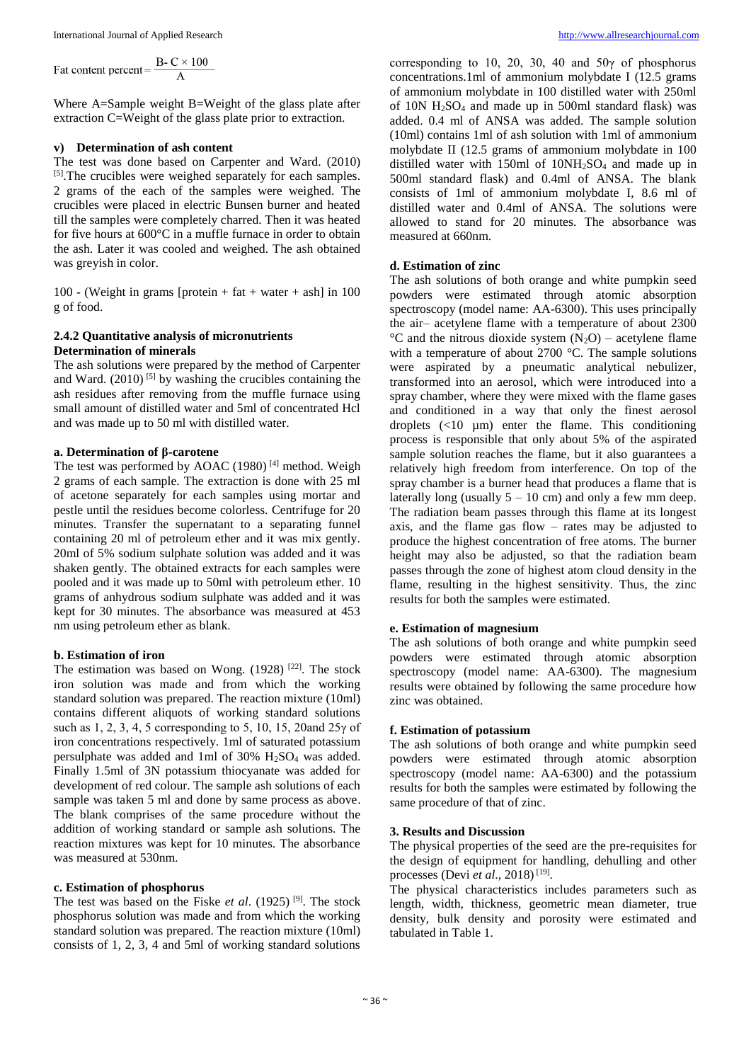Fat content percent =  $\frac{\text{B} - \text{C} \times 100}{\text{A}}$ 

Where A=Sample weight B=Weight of the glass plate after extraction C=Weight of the glass plate prior to extraction.

### **v) Determination of ash content**

The test was done based on Carpenter and Ward. (2010) [5]. The crucibles were weighed separately for each samples. 2 grams of the each of the samples were weighed. The crucibles were placed in electric Bunsen burner and heated till the samples were completely charred. Then it was heated for five hours at 600°C in a muffle furnace in order to obtain the ash. Later it was cooled and weighed. The ash obtained was greyish in color.

100 - (Weight in grams [protein + fat + water + ash] in 100 g of food.

# **2.4.2 Quantitative analysis of micronutrients Determination of minerals**

The ash solutions were prepared by the method of Carpenter and Ward.  $(2010)$ <sup>[5]</sup> by washing the crucibles containing the ash residues after removing from the muffle furnace using small amount of distilled water and 5ml of concentrated Hcl and was made up to 50 ml with distilled water.

#### **a. Determination of β-carotene**

The test was performed by AOAC (1980)<sup>[4]</sup> method. Weigh 2 grams of each sample. The extraction is done with 25 ml of acetone separately for each samples using mortar and pestle until the residues become colorless. Centrifuge for 20 minutes. Transfer the supernatant to a separating funnel containing 20 ml of petroleum ether and it was mix gently. 20ml of 5% sodium sulphate solution was added and it was shaken gently. The obtained extracts for each samples were pooled and it was made up to 50ml with petroleum ether. 10 grams of anhydrous sodium sulphate was added and it was kept for 30 minutes. The absorbance was measured at 453 nm using petroleum ether as blank.

# **b. Estimation of iron**

The estimation was based on Wong.  $(1928)$ <sup>[22]</sup>. The stock iron solution was made and from which the working standard solution was prepared. The reaction mixture (10ml) contains different aliquots of working standard solutions such as 1, 2, 3, 4, 5 corresponding to 5, 10, 15, 20and 25γ of iron concentrations respectively. 1ml of saturated potassium persulphate was added and 1ml of 30% H2SO<sup>4</sup> was added. Finally 1.5ml of 3N potassium thiocyanate was added for development of red colour. The sample ash solutions of each sample was taken 5 ml and done by same process as above. The blank comprises of the same procedure without the addition of working standard or sample ash solutions. The reaction mixtures was kept for 10 minutes. The absorbance was measured at 530nm.

#### **c. Estimation of phosphorus**

The test was based on the Fiske *et al*. (1925) [9] . The stock phosphorus solution was made and from which the working standard solution was prepared. The reaction mixture (10ml) consists of 1, 2, 3, 4 and 5ml of working standard solutions

corresponding to 10, 20, 30, 40 and 50γ of phosphorus concentrations.1ml of ammonium molybdate I (12.5 grams of ammonium molybdate in 100 distilled water with 250ml of  $10N$  H<sub>2</sub>SO<sub>4</sub> and made up in 500ml standard flask) was added. 0.4 ml of ANSA was added. The sample solution (10ml) contains 1ml of ash solution with 1ml of ammonium molybdate II (12.5 grams of ammonium molybdate in 100 distilled water with 150ml of 10NH2SO<sup>4</sup> and made up in 500ml standard flask) and 0.4ml of ANSA. The blank consists of 1ml of ammonium molybdate I, 8.6 ml of distilled water and 0.4ml of ANSA. The solutions were allowed to stand for 20 minutes. The absorbance was measured at 660nm.

#### **d. Estimation of zinc**

The ash solutions of both orange and white pumpkin seed powders were estimated through atomic absorption spectroscopy (model name: AA-6300). This uses principally the air– acetylene flame with a temperature of about 2300  ${}^{\circ}$ C and the nitrous dioxide system (N<sub>2</sub>O) – acetylene flame with a temperature of about 2700 °C. The sample solutions were aspirated by a pneumatic analytical nebulizer, transformed into an aerosol, which were introduced into a spray chamber, where they were mixed with the flame gases and conditioned in a way that only the finest aerosol droplets  $(<10 \mu m)$  enter the flame. This conditioning process is responsible that only about 5% of the aspirated sample solution reaches the flame, but it also guarantees a relatively high freedom from interference. On top of the spray chamber is a burner head that produces a flame that is laterally long (usually  $5 - 10$  cm) and only a few mm deep. The radiation beam passes through this flame at its longest axis, and the flame gas flow – rates may be adjusted to produce the highest concentration of free atoms. The burner height may also be adjusted, so that the radiation beam passes through the zone of highest atom cloud density in the flame, resulting in the highest sensitivity. Thus, the zinc results for both the samples were estimated.

# **e. Estimation of magnesium**

The ash solutions of both orange and white pumpkin seed powders were estimated through atomic absorption spectroscopy (model name: AA-6300). The magnesium results were obtained by following the same procedure how zinc was obtained.

#### **f. Estimation of potassium**

The ash solutions of both orange and white pumpkin seed powders were estimated through atomic absorption spectroscopy (model name: AA-6300) and the potassium results for both the samples were estimated by following the same procedure of that of zinc.

#### **3. Results and Discussion**

The physical properties of the seed are the pre-requisites for the design of equipment for handling, dehulling and other processes (Devi *et al*., 2018) [19] .

The physical characteristics includes parameters such as length, width, thickness, geometric mean diameter, true density, bulk density and porosity were estimated and tabulated in Table 1.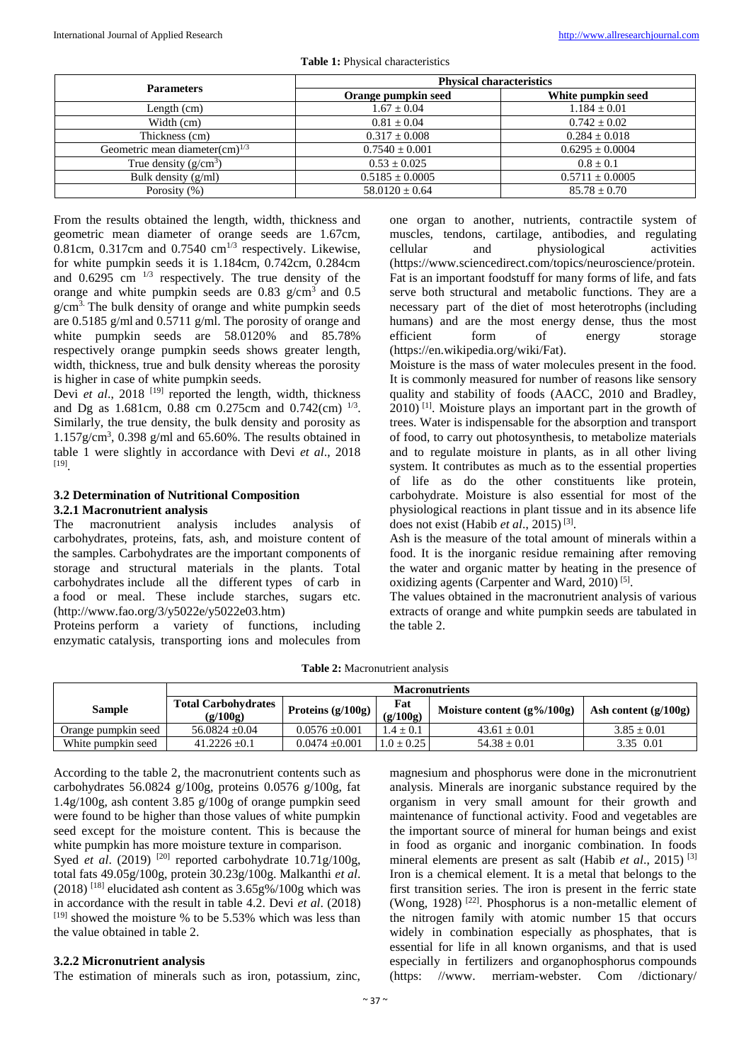| <b>Parameters</b>                    | <b>Physical characteristics</b> |                     |  |  |
|--------------------------------------|---------------------------------|---------------------|--|--|
|                                      | Orange pumpkin seed             | White pumpkin seed  |  |  |
| Length $(cm)$                        | $1.67 \pm 0.04$                 | $1.184 \pm 0.01$    |  |  |
| Width (cm)                           | $0.81 \pm 0.04$                 | $0.742 \pm 0.02$    |  |  |
| Thickness (cm)                       | $0.317 \pm 0.008$               | $0.284 \pm 0.018$   |  |  |
| Geometric mean diameter $(cm)^{1/3}$ | $0.7540 \pm 0.001$              | $0.6295 \pm 0.0004$ |  |  |
| True density $(g/cm^3)$              | $0.53 \pm 0.025$                | $0.8 + 0.1$         |  |  |
| Bulk density $(g/ml)$                | $0.5185 \pm 0.0005$             | $0.5711 \pm 0.0005$ |  |  |
| Porosity $(\% )$                     | $58.0120 \pm 0.64$              | $85.78 \pm 0.70$    |  |  |

**Table 1:** Physical characteristics

From the results obtained the length, width, thickness and geometric mean diameter of orange seeds are 1.67cm, 0.81cm, 0.317cm and 0.7540  $\text{cm}^{1/3}$  respectively. Likewise, for white pumpkin seeds it is 1.184cm, 0.742cm, 0.284cm and  $0.6295$  cm  $^{1/3}$  respectively. The true density of the orange and white pumpkin seeds are  $0.83$  g/cm<sup>3</sup> and  $0.5$  $g/cm<sup>3</sup>$ . The bulk density of orange and white pumpkin seeds are 0.5185 g/ml and 0.5711 g/ml. The porosity of orange and white pumpkin seeds are 58.0120% and 85.78% respectively orange pumpkin seeds shows greater length, width, thickness, true and bulk density whereas the porosity is higher in case of white pumpkin seeds.

Devi *et al.*, 2018<sup>[19]</sup> reported the length, width, thickness and Dg as 1.681cm, 0.88 cm 0.275cm and 0.742(cm)  $^{1/3}$ . Similarly, the true density, the bulk density and porosity as  $1.157$  g/cm<sup>3</sup>, 0.398 g/ml and 65.60%. The results obtained in table 1 were slightly in accordance with Devi *et al*., 2018 [19] .

# **3.2 Determination of Nutritional Composition 3.2.1 Macronutrient analysis**

The macronutrient analysis includes analysis of carbohydrates, proteins, fats, ash, and moisture content of the samples. Carbohydrates are the important components of storage and structural materials in the plants. Total carbohydrates include all the different types of carb in a food or meal. These include starches, sugars etc. (http://www.fao.org/3/y5022e/y5022e03.htm)

Proteins perform a variety of functions, including enzymatic catalysis, transporting ions and molecules from one organ to another, nutrients, contractile system of muscles, tendons, cartilage, antibodies, and regulating cellular and physiological activities (https://www.sciencedirect.com/topics/neuroscience/protein. Fat is an important foodstuff for many forms of life, and fats serve both structural and metabolic functions. They are a necessary part of the diet of most heterotrophs (including humans) and are the most energy dense, thus the most efficient form of energy storage (https://en.wikipedia.org/wiki/Fat).

Moisture is the mass of water molecules present in the food. It is commonly measured for number of reasons like sensory quality and stability of foods (AACC, 2010 and Bradley, 2010)<sup>[1]</sup>. Moisture plays an important part in the growth of trees. Water is indispensable for the absorption and transport of food, to carry out photosynthesis, to metabolize materials and to regulate moisture in plants, as in all other living system. It contributes as much as to the essential properties of life as do the other constituents like protein, carbohydrate. Moisture is also essential for most of the physiological reactions in plant tissue and in its absence life does not exist (Habib *et al*., 2015) [3] .

Ash is the measure of the total amount of minerals within a food. It is the inorganic residue remaining after removing the water and organic matter by heating in the presence of oxidizing agents (Carpenter and Ward, 2010)<sup>[5]</sup>.

The values obtained in the macronutrient analysis of various extracts of orange and white pumpkin seeds are tabulated in the table 2.

**Table 2:** Macronutrient analysis

|                     | <b>Macronutrients</b>                  |                     |                 |                               |                        |
|---------------------|----------------------------------------|---------------------|-----------------|-------------------------------|------------------------|
| <b>Sample</b>       | <b>Total Carbohydrates</b><br>(g/100g) | Proteins $(g/100g)$ | Fat<br>(g/100g) | Moisture content $(g\%/100g)$ | Ash content $(g/100g)$ |
| Orange pumpkin seed | $56.0824 + 0.04$                       | $0.0576 \pm 0.001$  | $.4 + 0.1$      | $43.61 + 0.01$                | $3.85 + 0.01$          |
| White pumpkin seed  | $41.2226 + 0.1$                        | $0.0474 + 0.001$    | $1.0 + 0.25$    | $54.38 \pm 0.01$              | 3.35 0.01              |

According to the table 2, the macronutrient contents such as carbohydrates 56.0824 g/100g, proteins 0.0576 g/100g, fat 1.4g/100g, ash content 3.85 g/100g of orange pumpkin seed were found to be higher than those values of white pumpkin seed except for the moisture content. This is because the white pumpkin has more moisture texture in comparison. Syed *et al.* (2019)<sup>[20]</sup> reported carbohydrate 10.71g/100g, total fats 49.05g/100g, protein 30.23g/100g. Malkanthi *et al*.  $(2018)$ <sup>[18]</sup> elucidated ash content as  $3.65g\%/100g$  which was in accordance with the result in table 4.2. Devi *et al*. (2018) [19] showed the moisture % to be 5.53% which was less than the value obtained in table 2.

# **3.2.2 Micronutrient analysis**

The estimation of minerals such as iron, potassium, zinc,

magnesium and phosphorus were done in the micronutrient analysis. Minerals are inorganic substance required by the organism in very small amount for their growth and maintenance of functional activity. Food and vegetables are the important source of mineral for human beings and exist in food as organic and inorganic combination. In foods mineral elements are present as salt (Habib *et al*., 2015) [3] Iron is a chemical element. It is a metal that belongs to the first transition series. The iron is present in the ferric state (Wong, 1928)<sup>[22]</sup>. Phosphorus is a non-metallic element of the nitrogen family with atomic number 15 that occurs widely in combination especially as phosphates, that is essential for life in all known organisms, and that is used especially in fertilizers and organophosphorus compounds (https: //www. merriam-webster. Com /dictionary/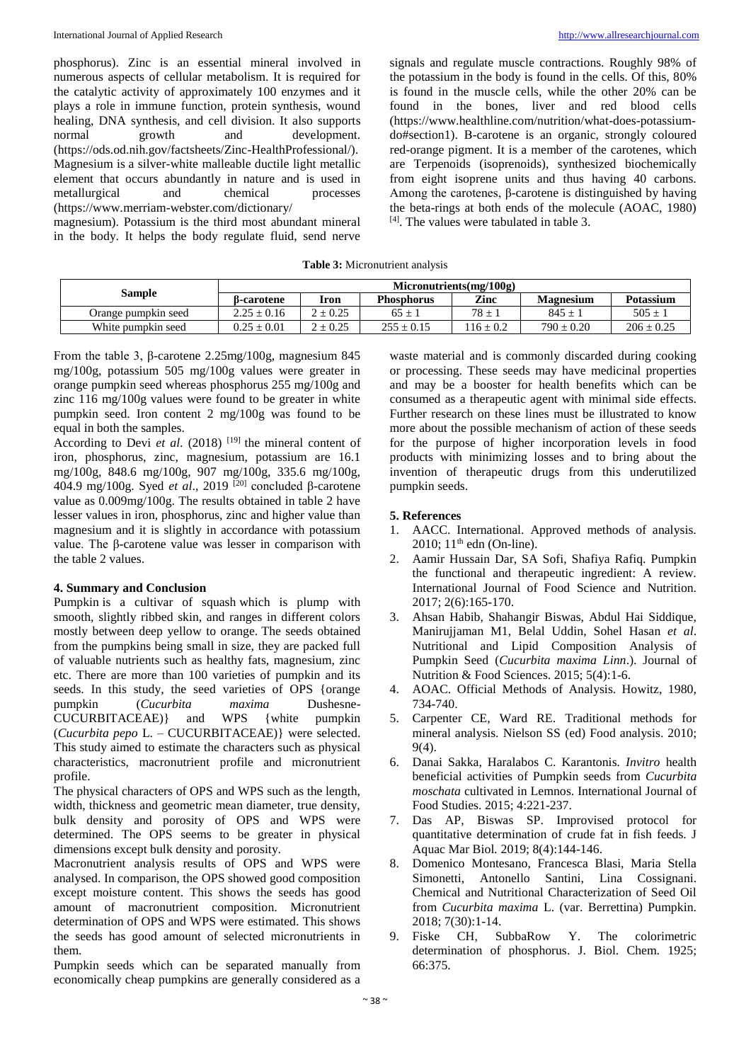phosphorus). Zinc is an essential mineral involved in numerous aspects of cellular metabolism. It is required for the catalytic activity of approximately 100 enzymes and it plays a role in immune function, protein synthesis, wound healing, DNA synthesis, and cell division. It also supports normal growth and development. (https://ods.od.nih.gov/factsheets/Zinc-HealthProfessional/). Magnesium is a silver-white malleable ductile light metallic element that occurs abundantly in nature and is used in metallurgical and chemical processes (https://www.merriam-webster.com/dictionary/

magnesium). Potassium is the third most abundant mineral in the body. It helps the body regulate fluid, send nerve

signals and regulate muscle contractions. Roughly 98% of the potassium in the body is found in the cells. Of this, 80% is found in the muscle cells, while the other 20% can be found in the bones, liver and red blood cells (https://www.healthline.com/nutrition/what-does-potassiumdo#section1). Β-carotene is an organic, strongly coloured red-orange pigment. It is a member of the carotenes, which are Terpenoids (isoprenoids), synthesized biochemically from eight isoprene units and thus having 40 carbons. Among the carotenes, β-carotene is distinguished by having the beta-rings at both ends of the molecule (AOAC, 1980) [4] . The values were tabulated in table 3.

|  | <b>Table 3:</b> Micronutrient analysis |  |
|--|----------------------------------------|--|
|--|----------------------------------------|--|

| Sample              | Micronutrients(mg/100g) |              |                   |               |                  |                  |
|---------------------|-------------------------|--------------|-------------------|---------------|------------------|------------------|
|                     | ß-carotene              | Iron         | <b>Phosphorus</b> | Zinc          | <b>Magnesium</b> | <b>Potassium</b> |
| Orange pumpkin seed | $2.25 \pm 0.16$         | $2 \pm 0.25$ | $65 +$            | $78 + 1$      | $845 + 1$        | $505 \pm 1$      |
| White pumpkin seed  | $0.25 \pm 0.01$         | $2 \pm 0.25$ | $255 \pm 0.15$    | $116 \pm 0.2$ | $790 \pm 0.20$   | $206 \pm 0.25$   |

From the table 3, β-carotene 2.25mg/100g, magnesium 845 mg/100g, potassium 505 mg/100g values were greater in orange pumpkin seed whereas phosphorus 255 mg/100g and zinc 116 mg/100g values were found to be greater in white pumpkin seed. Iron content 2 mg/100g was found to be equal in both the samples.

According to Devi et al. (2018)<sup>[19]</sup> the mineral content of iron, phosphorus, zinc, magnesium, potassium are 16.1 mg/100g, 848.6 mg/100g, 907 mg/100g, 335.6 mg/100g, 404.9 mg/100g. Syed *et al*., 2019 [20] concluded β-carotene value as 0.009mg/100g. The results obtained in table 2 have lesser values in iron, phosphorus, zinc and higher value than magnesium and it is slightly in accordance with potassium value. The β-carotene value was lesser in comparison with the table 2 values.

# **4. Summary and Conclusion**

Pumpkin is a cultivar of squash which is plump with smooth, slightly ribbed skin, and ranges in different colors mostly between deep yellow to orange. The seeds obtained from the pumpkins being small in size, they are packed full of valuable nutrients such as healthy fats, magnesium, zinc etc. There are more than 100 varieties of pumpkin and its seeds. In this study, the seed varieties of OPS {orange pumpkin (*Cucurbita maxima* Dushesne-CUCURBITACEAE)} and WPS {white pumpkin (*Cucurbita pepo* L. – CUCURBITACEAE)} were selected. This study aimed to estimate the characters such as physical characteristics, macronutrient profile and micronutrient profile.

The physical characters of OPS and WPS such as the length, width, thickness and geometric mean diameter, true density, bulk density and porosity of OPS and WPS were determined. The OPS seems to be greater in physical dimensions except bulk density and porosity.

Macronutrient analysis results of OPS and WPS were analysed. In comparison, the OPS showed good composition except moisture content. This shows the seeds has good amount of macronutrient composition. Micronutrient determination of OPS and WPS were estimated. This shows the seeds has good amount of selected micronutrients in them.

Pumpkin seeds which can be separated manually from economically cheap pumpkins are generally considered as a

waste material and is commonly discarded during cooking or processing. These seeds may have medicinal properties and may be a booster for health benefits which can be consumed as a therapeutic agent with minimal side effects. Further research on these lines must be illustrated to know more about the possible mechanism of action of these seeds for the purpose of higher incorporation levels in food products with minimizing losses and to bring about the invention of therapeutic drugs from this underutilized pumpkin seeds.

# **5. References**

- 1. AACC. International. Approved methods of analysis. 2010;  $11<sup>th</sup>$  edn (On-line).
- 2. Aamir Hussain Dar, SA Sofi, Shafiya Rafiq. Pumpkin the functional and therapeutic ingredient: A review. International Journal of Food Science and Nutrition. 2017; 2(6):165-170.
- 3. Ahsan Habib, Shahangir Biswas, Abdul Hai Siddique, Manirujjaman M1, Belal Uddin, Sohel Hasan *et al*. Nutritional and Lipid Composition Analysis of Pumpkin Seed (*Cucurbita maxima Linn*.). Journal of Nutrition & Food Sciences. 2015; 5(4):1-6.
- 4. AOAC. Official Methods of Analysis. Howitz, 1980, 734-740.
- 5. Carpenter CE, Ward RE. Traditional methods for mineral analysis. Nielson SS (ed) Food analysis. 2010;  $9(4)$ .
- 6. Danai Sakka, Haralabos C. Karantonis*. Invitro* health beneficial activities of Pumpkin seeds from *Cucurbita moschata* cultivated in Lemnos. International Journal of Food Studies. 2015; 4:221-237.
- 7. Das AP, Biswas SP. Improvised protocol for quantitative determination of crude fat in fish feeds. J Aquac Mar Biol*.* 2019; 8(4):144-146.
- 8. Domenico Montesano, Francesca Blasi, Maria Stella Simonetti, Antonello Santini, Lina Cossignani. Chemical and Nutritional Characterization of Seed Oil from *Cucurbita maxima* L. (var. Berrettina) Pumpkin. 2018; 7(30):1-14.
- 9. Fiske CH, SubbaRow Y. The colorimetric determination of phosphorus. J. Biol. Chem. 1925; 66:375.